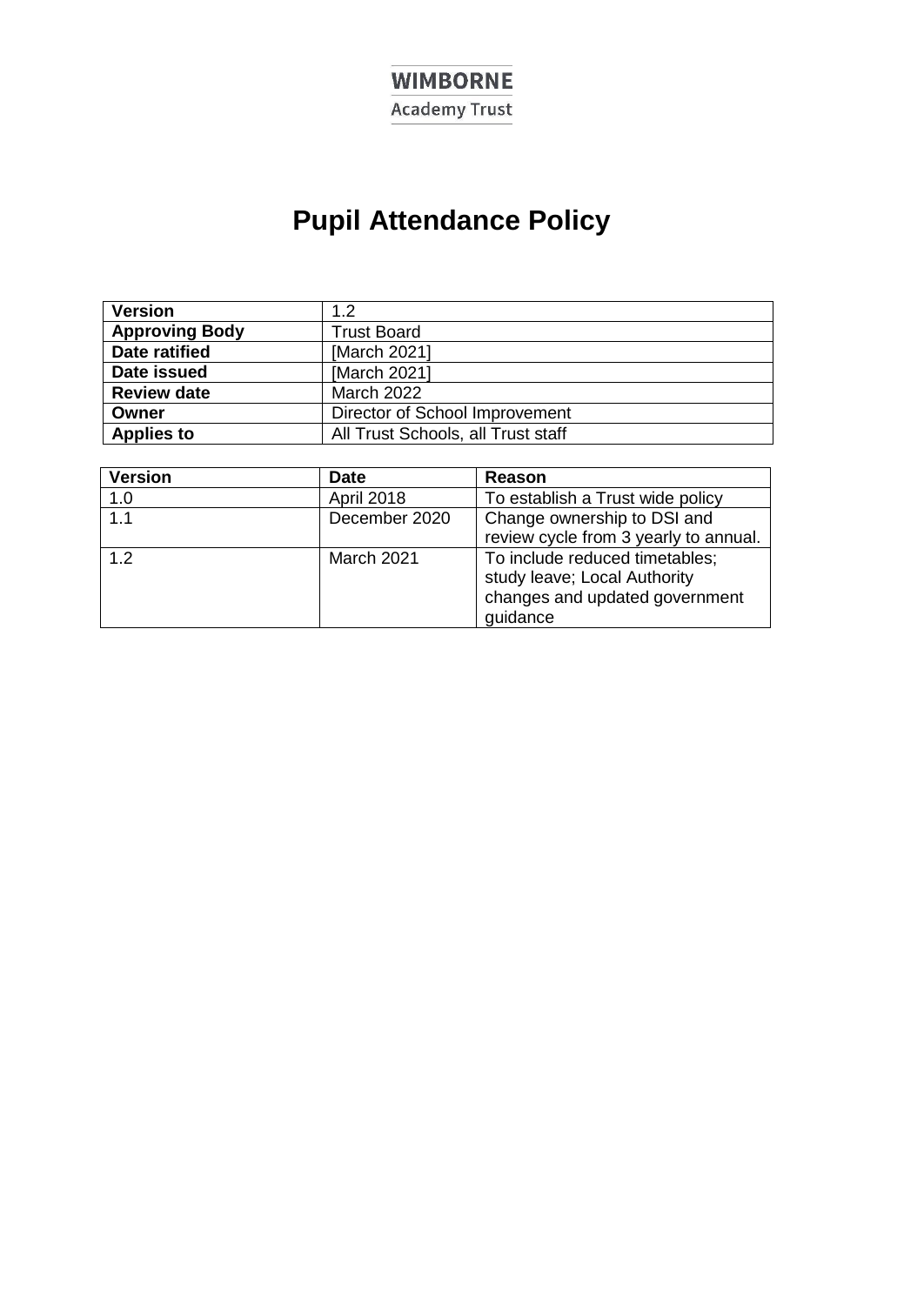# **WIMBORNE**

**Academy Trust** 

# **Pupil Attendance Policy**

| <b>Version</b>        | 1.2                                |
|-----------------------|------------------------------------|
| <b>Approving Body</b> | <b>Trust Board</b>                 |
| <b>Date ratified</b>  | [March 2021]                       |
| Date issued           | [March 2021]                       |
| <b>Review date</b>    | <b>March 2022</b>                  |
| Owner                 | Director of School Improvement     |
| <b>Applies to</b>     | All Trust Schools, all Trust staff |

| <b>Version</b> | <b>Date</b>   | Reason                                                                                                       |
|----------------|---------------|--------------------------------------------------------------------------------------------------------------|
| 1.0            | April 2018    | To establish a Trust wide policy                                                                             |
| 1.1            | December 2020 | Change ownership to DSI and<br>review cycle from 3 yearly to annual.                                         |
| 1.2            | March 2021    | To include reduced timetables;<br>study leave; Local Authority<br>changes and updated government<br>guidance |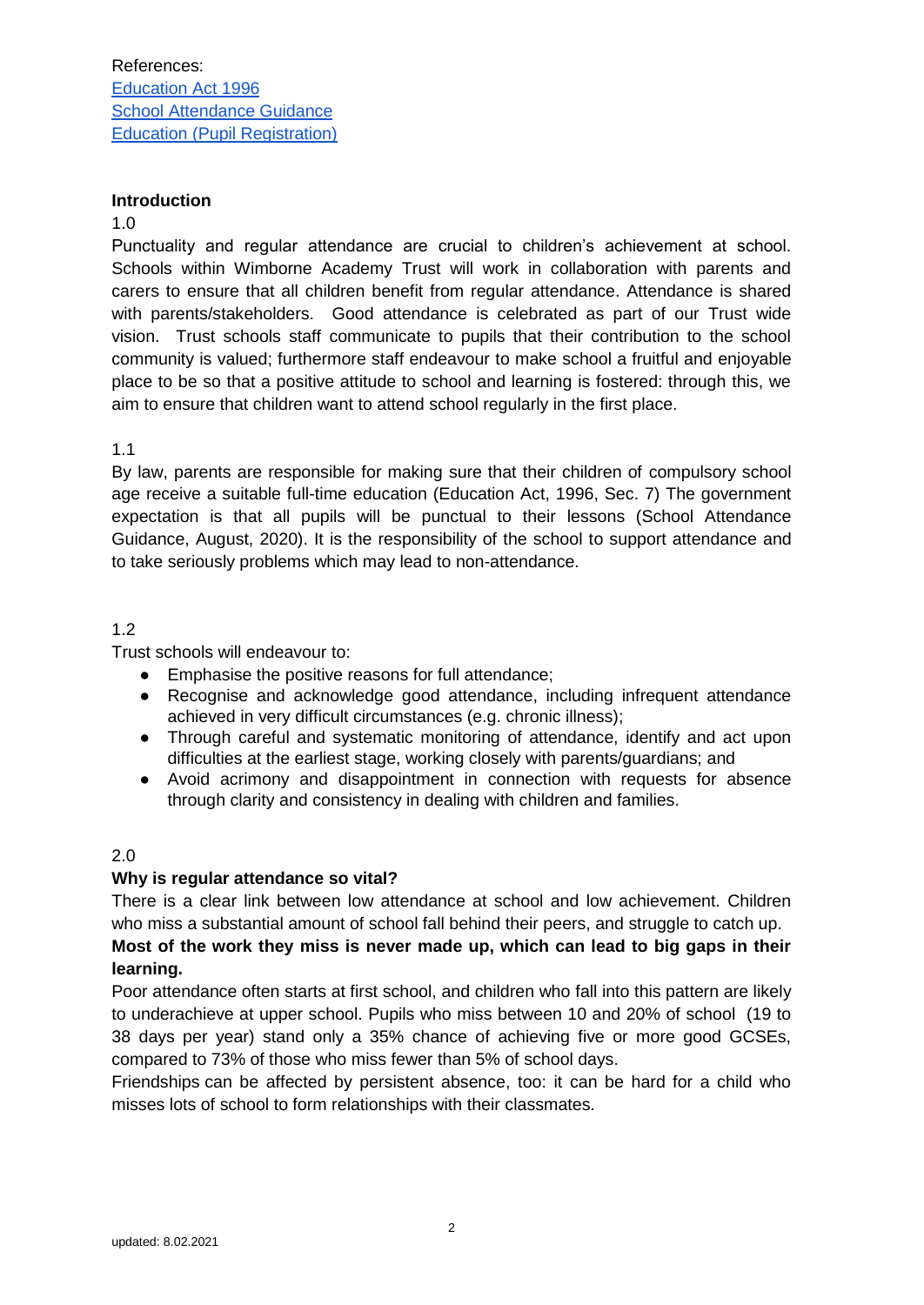#### **Introduction**

#### 1.0

Punctuality and regular attendance are crucial to children's achievement at school. Schools within Wimborne Academy Trust will work in collaboration with parents and carers to ensure that all children benefit from regular attendance. Attendance is shared with parents/stakeholders. Good attendance is celebrated as part of our Trust wide vision. Trust schools staff communicate to pupils that their contribution to the school community is valued; furthermore staff endeavour to make school a fruitful and enjoyable place to be so that a positive attitude to school and learning is fostered: through this, we aim to ensure that children want to attend school regularly in the first place.

#### 1.1

By law, parents are responsible for making sure that their children of compulsory school age receive a suitable full-time education (Education Act, 1996, Sec. 7) The government expectation is that all pupils will be punctual to their lessons (School Attendance Guidance, August, 2020). It is the responsibility of the school to support attendance and to take seriously problems which may lead to non-attendance.

# 1.2

Trust schools will endeavour to:

- Emphasise the positive reasons for full attendance;
- Recognise and acknowledge good attendance, including infrequent attendance achieved in very difficult circumstances (e.g. chronic illness);
- Through careful and systematic monitoring of attendance, identify and act upon difficulties at the earliest stage, working closely with parents/guardians; and
- Avoid acrimony and disappointment in connection with requests for absence through clarity and consistency in dealing with children and families.

#### 2.0

#### **Why is regular attendance so vital?**

There is a clear link between low attendance at school and low achievement. Children who miss a substantial amount of school fall behind their peers, and struggle to catch up. **Most of the work they miss is never made up, which can lead to big gaps in their learning.**

Poor attendance often starts at first school, and children who fall into this pattern are likely to underachieve at upper school. Pupils who miss between 10 and 20% of school (19 to 38 days per year) stand only a 35% chance of achieving five or more good GCSEs, compared to 73% of those who miss fewer than 5% of school days.

[Friendships](https://www.theschoolrun.com/childhood-friendships-should-you-intervene) can be affected by persistent absence, too: it can be hard for a child who misses lots of school to form relationships with their classmates.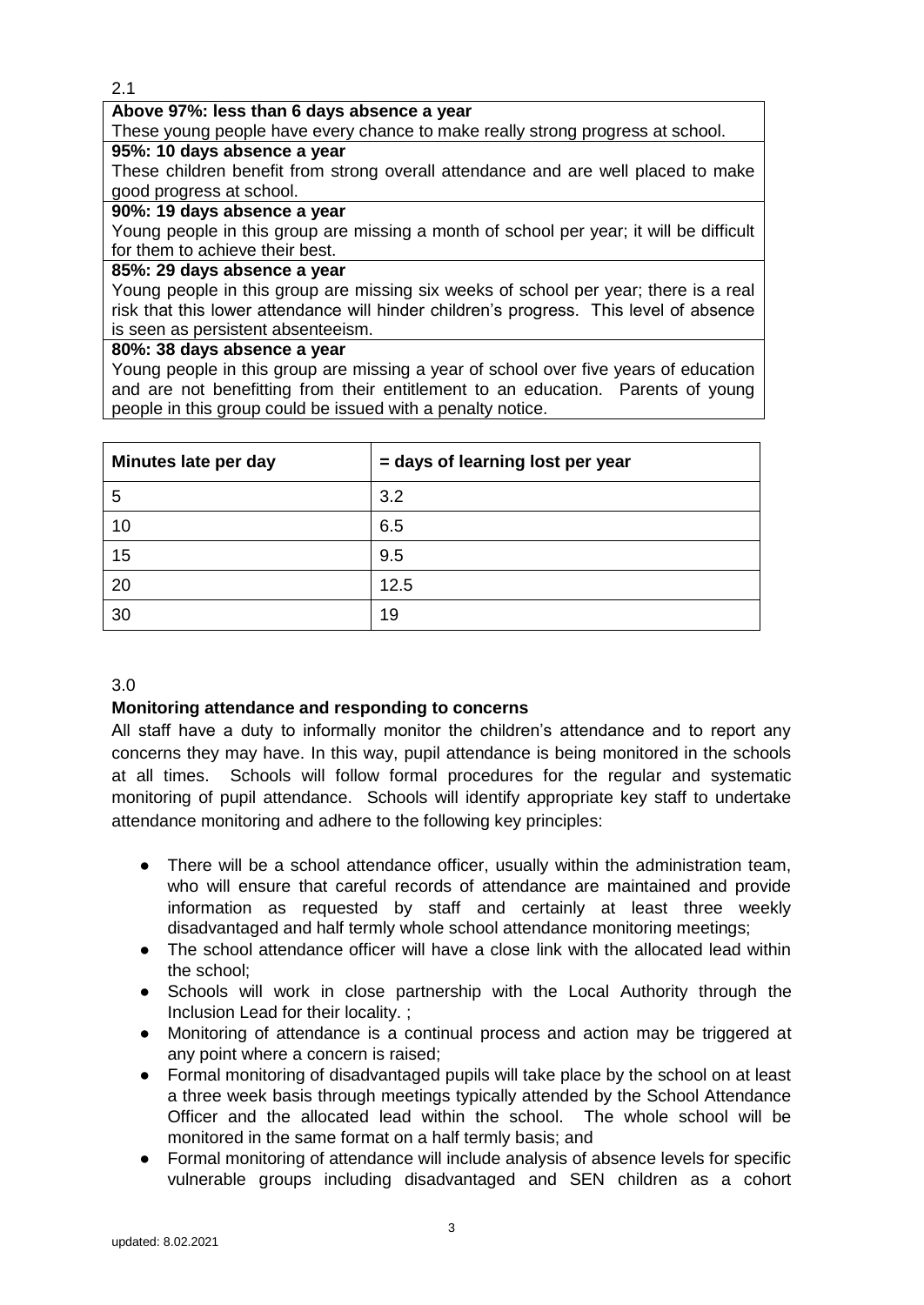#### **Above 97%: less than 6 days absence a year**

These young people have every chance to make really strong progress at school.

# **95%: 10 days absence a year**

These children benefit from strong overall attendance and are well placed to make good progress at school.

#### **90%: 19 days absence a year**

Young people in this group are missing a month of school per year; it will be difficult for them to achieve their best.

#### **85%: 29 days absence a year**

Young people in this group are missing six weeks of school per year; there is a real risk that this lower attendance will hinder children's progress. This level of absence is seen as persistent absenteeism.

#### **80%: 38 days absence a year**

Young people in this group are missing a year of school over five years of education and are not benefitting from their entitlement to an education. Parents of young people in this group could be issued with a penalty notice.

| Minutes late per day | = days of learning lost per year |
|----------------------|----------------------------------|
| 5                    | 3.2                              |
| 10                   | 6.5                              |
| 15                   | 9.5                              |
| 20                   | 12.5                             |
| 30                   | 19                               |

# 3.0

# **Monitoring attendance and responding to concerns**

All staff have a duty to informally monitor the children's attendance and to report any concerns they may have. In this way, pupil attendance is being monitored in the schools at all times. Schools will follow formal procedures for the regular and systematic monitoring of pupil attendance. Schools will identify appropriate key staff to undertake attendance monitoring and adhere to the following key principles:

- There will be a school attendance officer, usually within the administration team, who will ensure that careful records of attendance are maintained and provide information as requested by staff and certainly at least three weekly disadvantaged and half termly whole school attendance monitoring meetings;
- The school attendance officer will have a close link with the allocated lead within the school;
- Schools will work in close partnership with the Local Authority through the Inclusion Lead for their locality. ;
- Monitoring of attendance is a continual process and action may be triggered at any point where a concern is raised;
- Formal monitoring of disadvantaged pupils will take place by the school on at least a three week basis through meetings typically attended by the School Attendance Officer and the allocated lead within the school. The whole school will be monitored in the same format on a half termly basis; and
- Formal monitoring of attendance will include analysis of absence levels for specific vulnerable groups including disadvantaged and SEN children as a cohort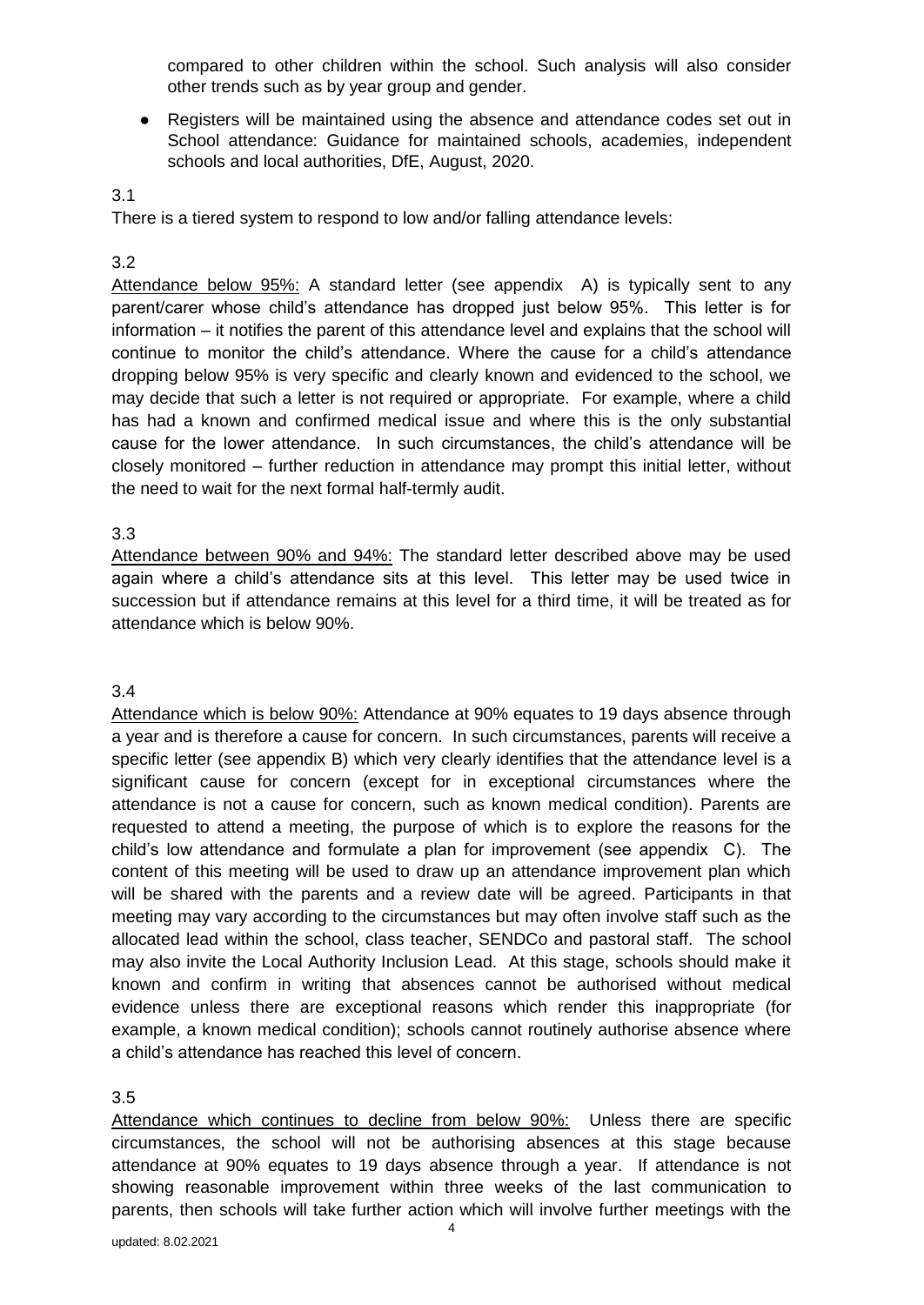compared to other children within the school. Such analysis will also consider other trends such as by year group and gender.

● Registers will be maintained using the absence and attendance codes set out in School attendance: Guidance for maintained schools, academies, independent schools and local authorities, DfE, August, 2020.

#### 3.1

There is a tiered system to respond to low and/or falling attendance levels:

## 3.2

Attendance below 95%: A standard letter (see appendix A) is typically sent to any parent/carer whose child's attendance has dropped just below 95%. This letter is for information – it notifies the parent of this attendance level and explains that the school will continue to monitor the child's attendance. Where the cause for a child's attendance dropping below 95% is very specific and clearly known and evidenced to the school, we may decide that such a letter is not required or appropriate. For example, where a child has had a known and confirmed medical issue and where this is the only substantial cause for the lower attendance. In such circumstances, the child's attendance will be closely monitored – further reduction in attendance may prompt this initial letter, without the need to wait for the next formal half-termly audit.

#### 3.3

Attendance between 90% and 94%: The standard letter described above may be used again where a child's attendance sits at this level. This letter may be used twice in succession but if attendance remains at this level for a third time, it will be treated as for attendance which is below 90%.

### 3.4

Attendance which is below 90%: Attendance at 90% equates to 19 days absence through a year and is therefore a cause for concern. In such circumstances, parents will receive a specific letter (see appendix B) which very clearly identifies that the attendance level is a significant cause for concern (except for in exceptional circumstances where the attendance is not a cause for concern, such as known medical condition). Parents are requested to attend a meeting, the purpose of which is to explore the reasons for the child's low attendance and formulate a plan for improvement (see appendix C). The content of this meeting will be used to draw up an attendance improvement plan which will be shared with the parents and a review date will be agreed. Participants in that meeting may vary according to the circumstances but may often involve staff such as the allocated lead within the school, class teacher, SENDCo and pastoral staff. The school may also invite the Local Authority Inclusion Lead. At this stage, schools should make it known and confirm in writing that absences cannot be authorised without medical evidence unless there are exceptional reasons which render this inappropriate (for example, a known medical condition); schools cannot routinely authorise absence where a child's attendance has reached this level of concern.

#### 3.5

Attendance which continues to decline from below 90%: Unless there are specific circumstances, the school will not be authorising absences at this stage because attendance at 90% equates to 19 days absence through a year. If attendance is not showing reasonable improvement within three weeks of the last communication to parents, then schools will take further action which will involve further meetings with the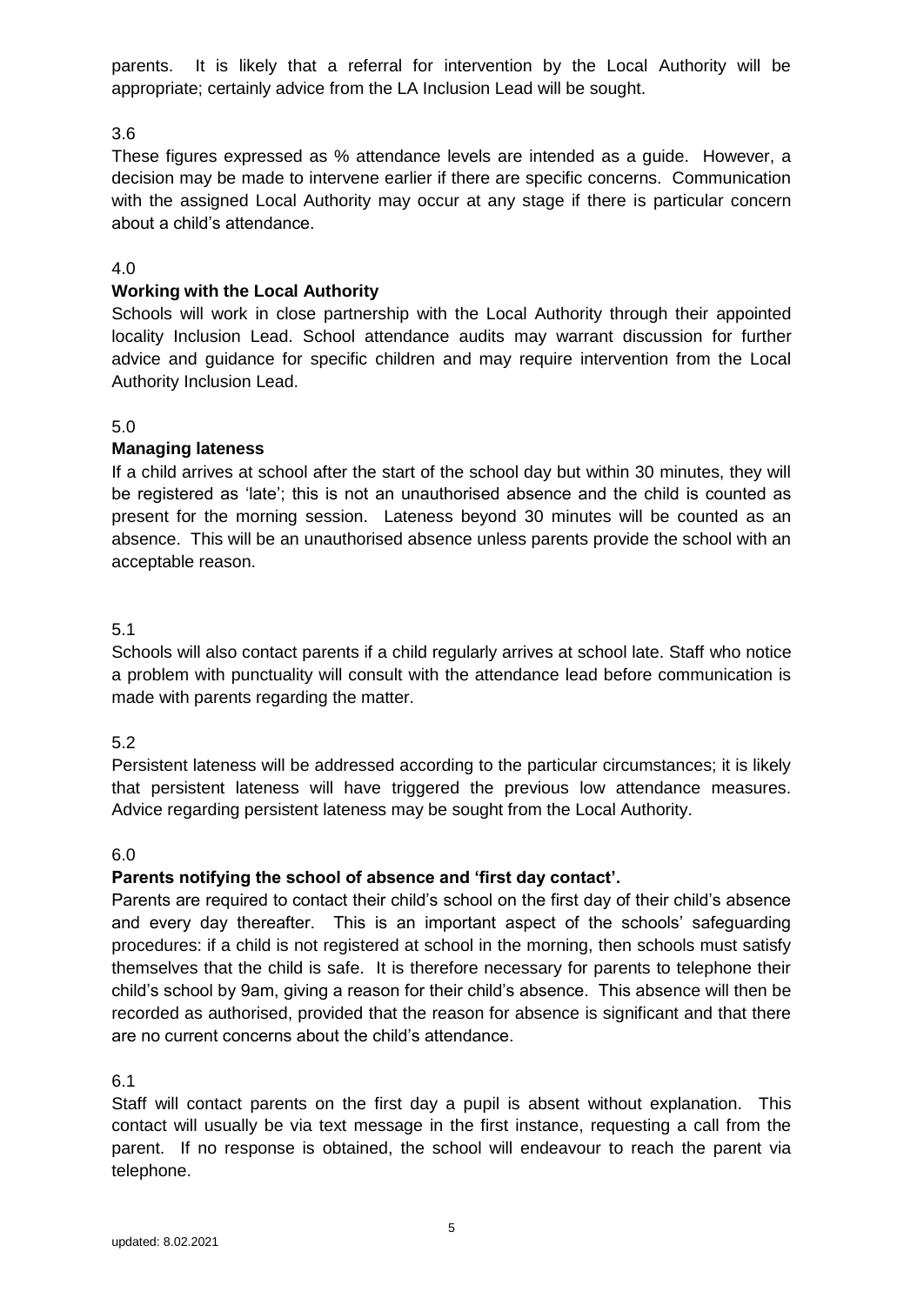parents. It is likely that a referral for intervention by the Local Authority will be appropriate; certainly advice from the LA Inclusion Lead will be sought.

# 3.6

These figures expressed as % attendance levels are intended as a guide. However, a decision may be made to intervene earlier if there are specific concerns. Communication with the assigned Local Authority may occur at any stage if there is particular concern about a child's attendance.

## 4.0

#### **Working with the Local Authority**

Schools will work in close partnership with the Local Authority through their appointed locality Inclusion Lead. School attendance audits may warrant discussion for further advice and guidance for specific children and may require intervention from the Local Authority Inclusion Lead.

#### 5.0

#### **Managing lateness**

If a child arrives at school after the start of the school day but within 30 minutes, they will be registered as 'late'; this is not an unauthorised absence and the child is counted as present for the morning session. Lateness beyond 30 minutes will be counted as an absence. This will be an unauthorised absence unless parents provide the school with an acceptable reason.

#### 5.1

Schools will also contact parents if a child regularly arrives at school late. Staff who notice a problem with punctuality will consult with the attendance lead before communication is made with parents regarding the matter.

#### 5.2

Persistent lateness will be addressed according to the particular circumstances; it is likely that persistent lateness will have triggered the previous low attendance measures. Advice regarding persistent lateness may be sought from the Local Authority.

#### 6.0

#### **Parents notifying the school of absence and 'first day contact'.**

Parents are required to contact their child's school on the first day of their child's absence and every day thereafter. This is an important aspect of the schools' safeguarding procedures: if a child is not registered at school in the morning, then schools must satisfy themselves that the child is safe. It is therefore necessary for parents to telephone their child's school by 9am, giving a reason for their child's absence. This absence will then be recorded as authorised, provided that the reason for absence is significant and that there are no current concerns about the child's attendance.

6.1

Staff will contact parents on the first day a pupil is absent without explanation. This contact will usually be via text message in the first instance, requesting a call from the parent. If no response is obtained, the school will endeavour to reach the parent via telephone.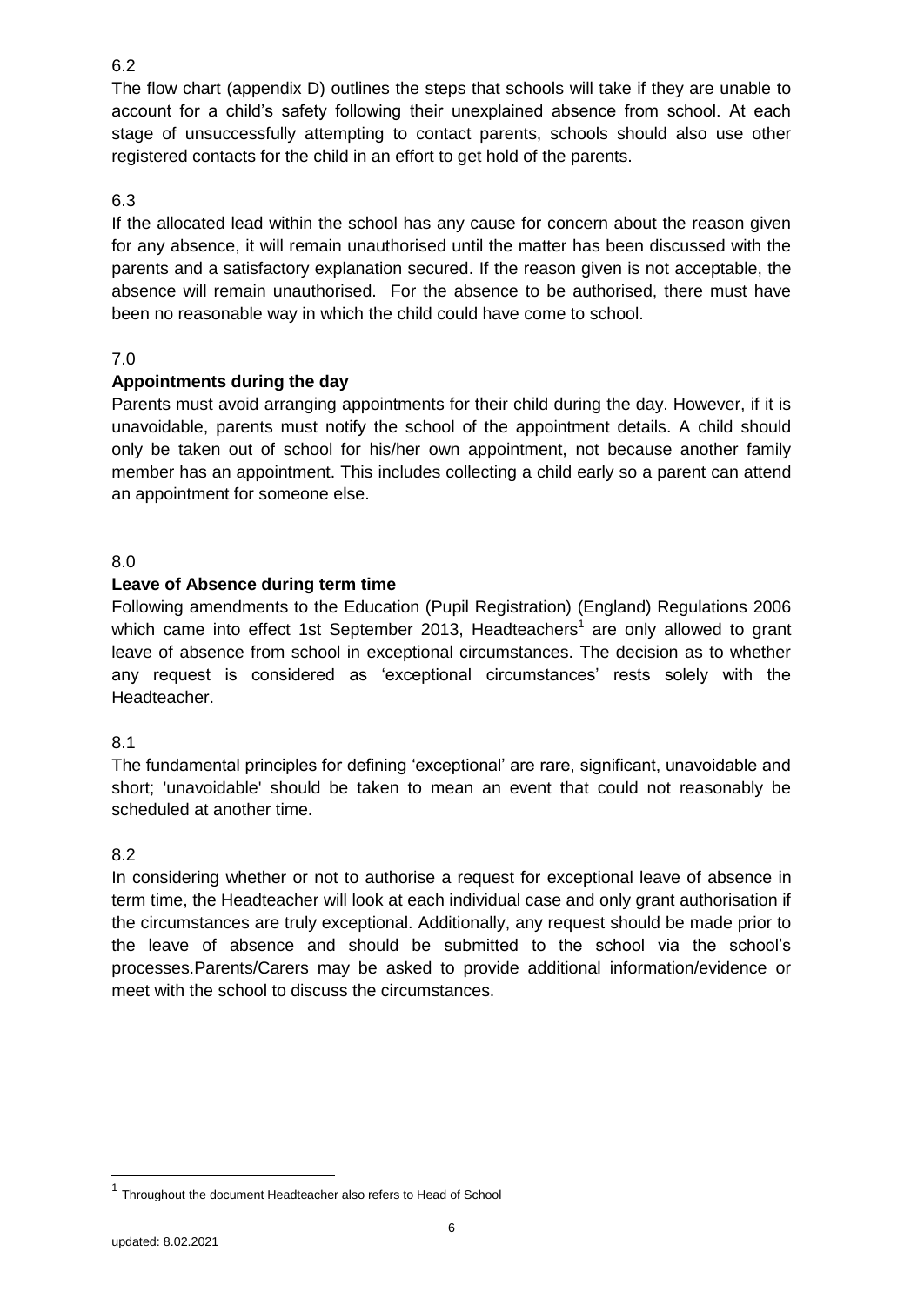The flow chart (appendix D) outlines the steps that schools will take if they are unable to account for a child's safety following their unexplained absence from school. At each stage of unsuccessfully attempting to contact parents, schools should also use other registered contacts for the child in an effort to get hold of the parents.

# 6.3

If the allocated lead within the school has any cause for concern about the reason given for any absence, it will remain unauthorised until the matter has been discussed with the parents and a satisfactory explanation secured. If the reason given is not acceptable, the absence will remain unauthorised. For the absence to be authorised, there must have been no reasonable way in which the child could have come to school.

#### 7.0

# **Appointments during the day**

Parents must avoid arranging appointments for their child during the day. However, if it is unavoidable, parents must notify the school of the appointment details. A child should only be taken out of school for his/her own appointment, not because another family member has an appointment. This includes collecting a child early so a parent can attend an appointment for someone else.

#### 8.0

## **Leave of Absence during term time**

Following amendments to the Education (Pupil Registration) (England) Regulations 2006 which came into effect 1st September 2013, Headteachers<sup>1</sup> are only allowed to grant leave of absence from school in exceptional circumstances. The decision as to whether any request is considered as 'exceptional circumstances' rests solely with the Headteacher.

#### 8.1

The fundamental principles for defining 'exceptional' are rare, significant, unavoidable and short; 'unavoidable' should be taken to mean an event that could not reasonably be scheduled at another time.

#### 8.2

In considering whether or not to authorise a request for exceptional leave of absence in term time, the Headteacher will look at each individual case and only grant authorisation if the circumstances are truly exceptional. Additionally, any request should be made prior to the leave of absence and should be submitted to the school via the school's processes.Parents/Carers may be asked to provide additional information/evidence or meet with the school to discuss the circumstances.

-

<sup>&</sup>lt;sup>1</sup> Throughout the document Headteacher also refers to Head of School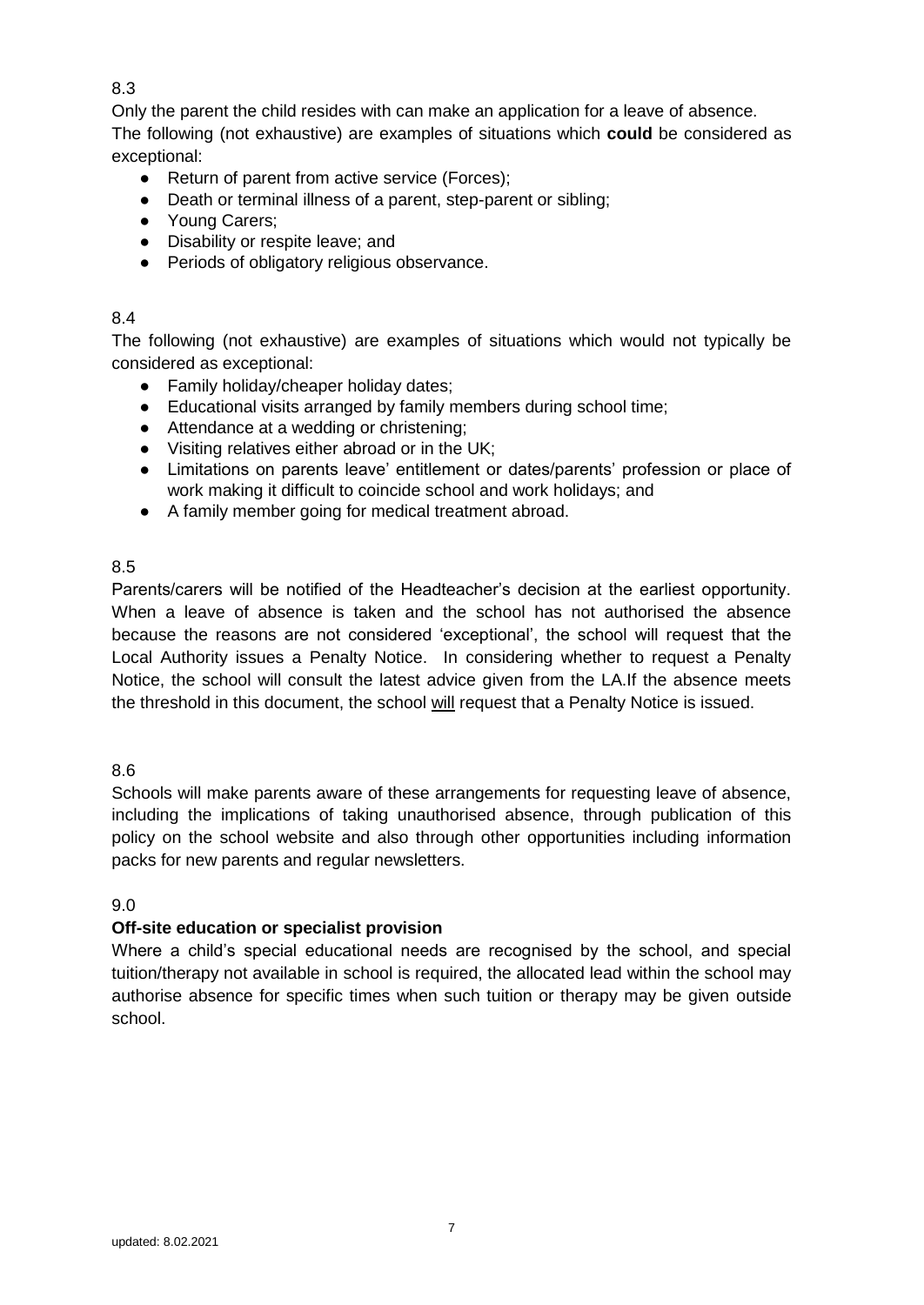Only the parent the child resides with can make an application for a leave of absence. The following (not exhaustive) are examples of situations which **could** be considered as exceptional:

- Return of parent from active service (Forces);
- Death or terminal illness of a parent, step-parent or sibling;
- Young Carers;
- Disability or respite leave; and
- Periods of obligatory religious observance.

# 8.4

The following (not exhaustive) are examples of situations which would not typically be considered as exceptional:

- Family holiday/cheaper holiday dates;
- Educational visits arranged by family members during school time;
- Attendance at a wedding or christening;
- Visiting relatives either abroad or in the UK;
- Limitations on parents leave' entitlement or dates/parents' profession or place of work making it difficult to coincide school and work holidays; and
- A family member going for medical treatment abroad.

# 8.5

Parents/carers will be notified of the Headteacher's decision at the earliest opportunity. When a leave of absence is taken and the school has not authorised the absence because the reasons are not considered 'exceptional', the school will request that the Local Authority issues a Penalty Notice. In considering whether to request a Penalty Notice, the school will consult the latest advice given from the LA.If the absence meets the threshold in this document, the school will request that a Penalty Notice is issued.

# 8.6

Schools will make parents aware of these arrangements for requesting leave of absence, including the implications of taking unauthorised absence, through publication of this policy on the school website and also through other opportunities including information packs for new parents and regular newsletters.

9.0

# **Off-site education or specialist provision**

Where a child's special educational needs are recognised by the school, and special tuition/therapy not available in school is required, the allocated lead within the school may authorise absence for specific times when such tuition or therapy may be given outside school.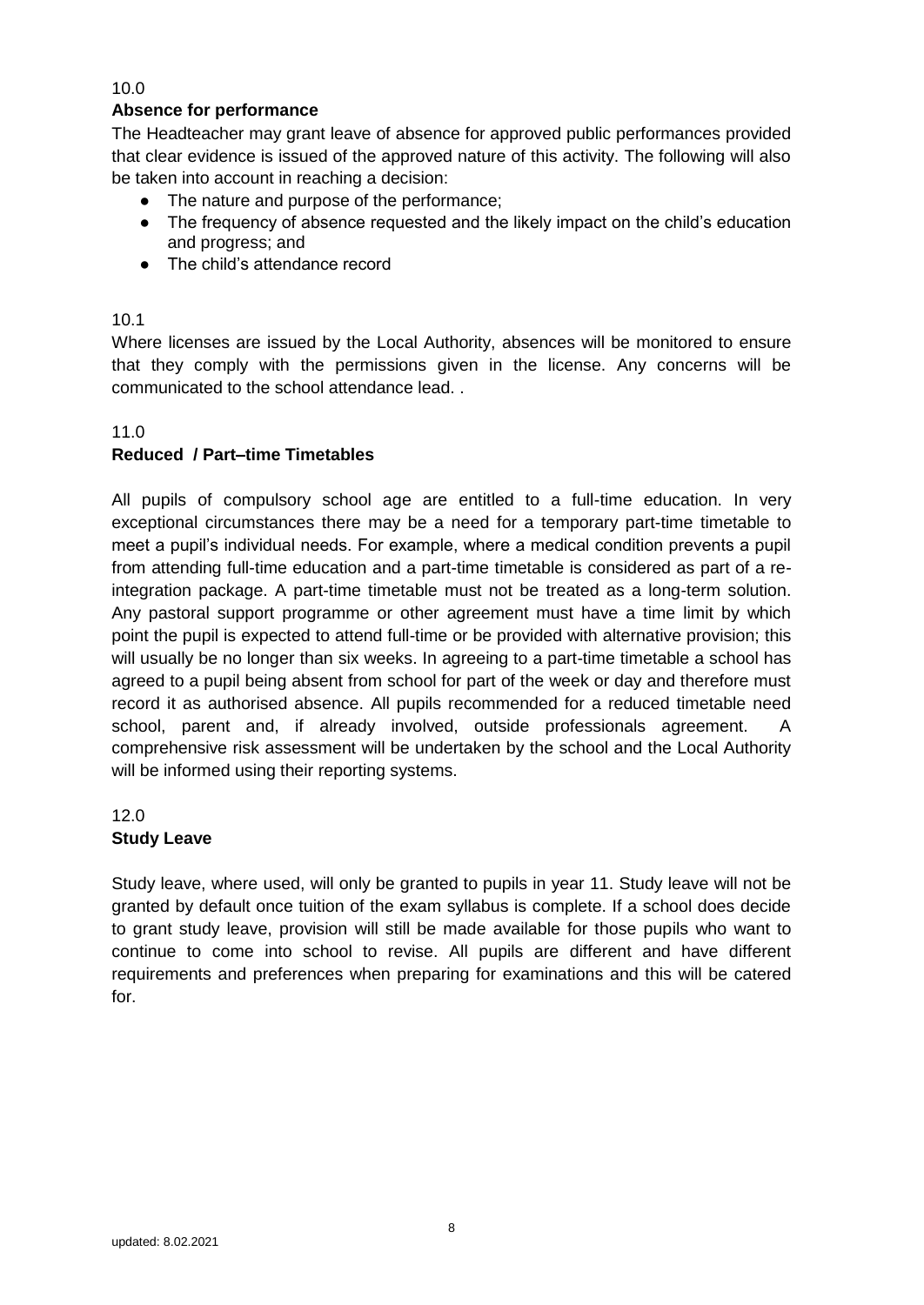# **Absence for performance**

The Headteacher may grant leave of absence for approved public performances provided that clear evidence is issued of the approved nature of this activity. The following will also be taken into account in reaching a decision:

- The nature and purpose of the performance;
- The frequency of absence requested and the likely impact on the child's education and progress; and
- The child's attendance record

#### 10.1

Where licenses are issued by the Local Authority, absences will be monitored to ensure that they comply with the permissions given in the license. Any concerns will be communicated to the school attendance lead. .

## 11.0

# **Reduced / Part–time Timetables**

All pupils of compulsory school age are entitled to a full-time education. In very exceptional circumstances there may be a need for a temporary part-time timetable to meet a pupil's individual needs. For example, where a medical condition prevents a pupil from attending full-time education and a part-time timetable is considered as part of a reintegration package. A part-time timetable must not be treated as a long-term solution. Any pastoral support programme or other agreement must have a time limit by which point the pupil is expected to attend full-time or be provided with alternative provision; this will usually be no longer than six weeks. In agreeing to a part-time timetable a school has agreed to a pupil being absent from school for part of the week or day and therefore must record it as authorised absence. All pupils recommended for a reduced timetable need school, parent and, if already involved, outside professionals agreement. A comprehensive risk assessment will be undertaken by the school and the Local Authority will be informed using their reporting systems.

12.0

# **Study Leave**

Study leave, where used, will only be granted to pupils in year 11. Study leave will not be granted by default once tuition of the exam syllabus is complete. If a school does decide to grant study leave, provision will still be made available for those pupils who want to continue to come into school to revise. All pupils are different and have different requirements and preferences when preparing for examinations and this will be catered for.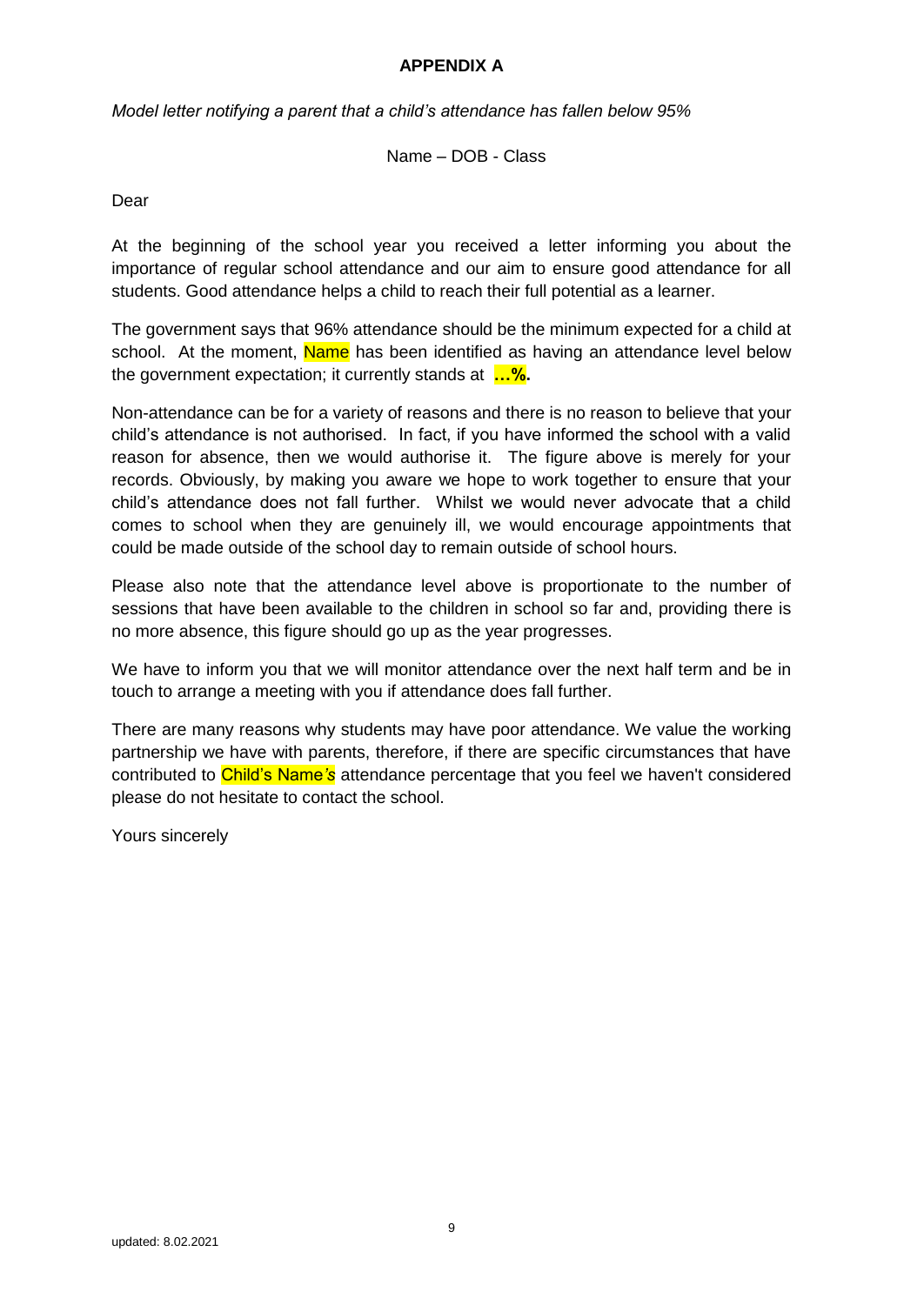## **APPENDIX A**

*Model letter notifying a parent that a child's attendance has fallen below 95%*

Name – DOB - Class

Dear

At the beginning of the school year you received a letter informing you about the importance of regular school attendance and our aim to ensure good attendance for all students. Good attendance helps a child to reach their full potential as a learner.

The government says that 96% attendance should be the minimum expected for a child at school. At the moment, Name has been identified as having an attendance level below the government expectation; it currently stands at **…%.** 

Non-attendance can be for a variety of reasons and there is no reason to believe that your child's attendance is not authorised. In fact, if you have informed the school with a valid reason for absence, then we would authorise it. The figure above is merely for your records. Obviously, by making you aware we hope to work together to ensure that your child's attendance does not fall further. Whilst we would never advocate that a child comes to school when they are genuinely ill, we would encourage appointments that could be made outside of the school day to remain outside of school hours.

Please also note that the attendance level above is proportionate to the number of sessions that have been available to the children in school so far and, providing there is no more absence, this figure should go up as the year progresses.

We have to inform you that we will monitor attendance over the next half term and be in touch to arrange a meeting with you if attendance does fall further.

There are many reasons why students may have poor attendance. We value the working partnership we have with parents, therefore, if there are specific circumstances that have contributed to Child's Name*'s* attendance percentage that you feel we haven't considered please do not hesitate to contact the school.

Yours sincerely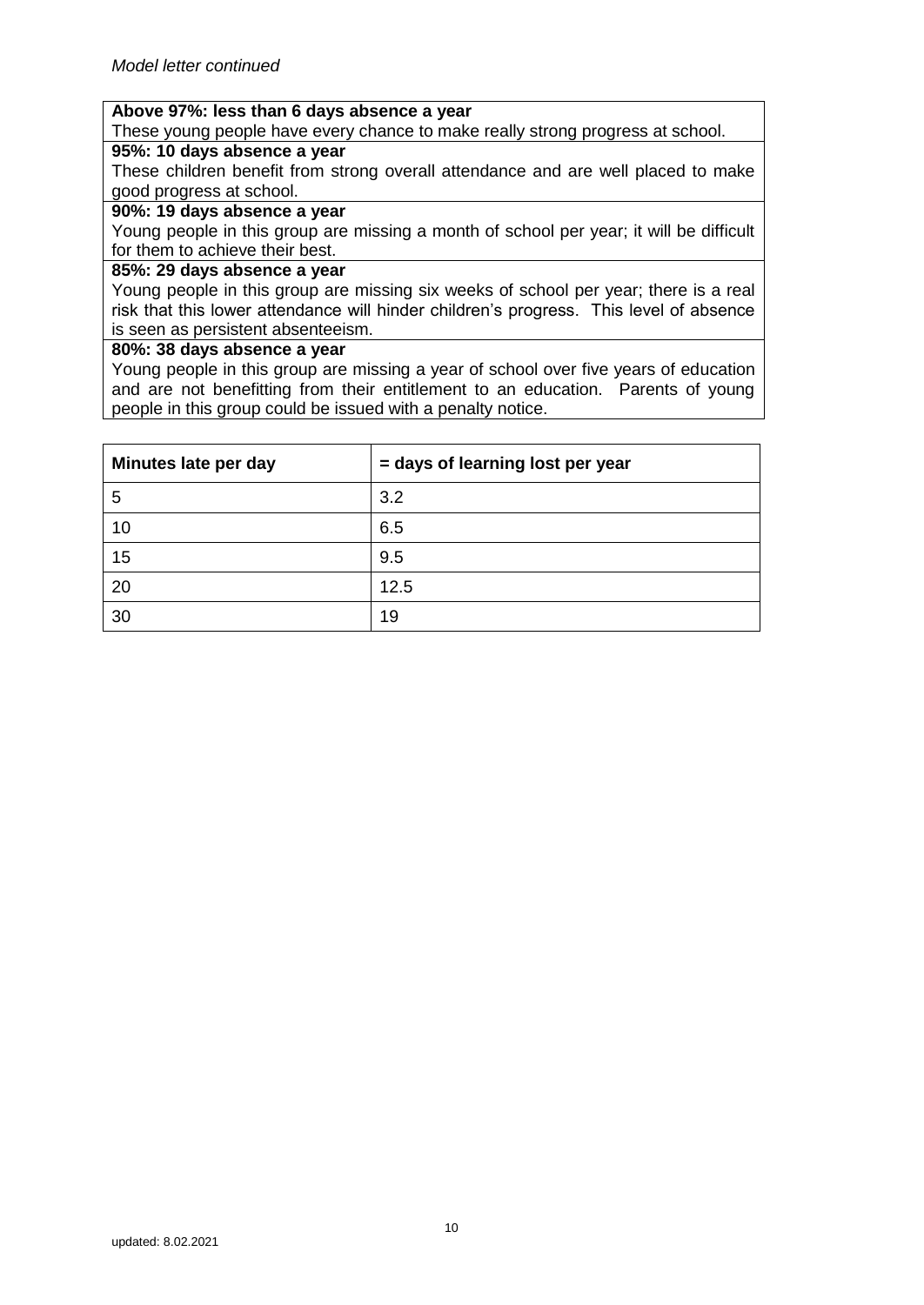## **Above 97%: less than 6 days absence a year**

These young people have every chance to make really strong progress at school.

# **95%: 10 days absence a year**

These children benefit from strong overall attendance and are well placed to make good progress at school.

#### **90%: 19 days absence a year**

Young people in this group are missing a month of school per year; it will be difficult for them to achieve their best.

#### **85%: 29 days absence a year**

Young people in this group are missing six weeks of school per year; there is a real risk that this lower attendance will hinder children's progress. This level of absence is seen as persistent absenteeism.

#### **80%: 38 days absence a year**

Young people in this group are missing a year of school over five years of education and are not benefitting from their entitlement to an education. Parents of young people in this group could be issued with a penalty notice.

| Minutes late per day | = days of learning lost per year |
|----------------------|----------------------------------|
| 5                    | 3.2                              |
| 10                   | 6.5                              |
| 15                   | 9.5                              |
| 20                   | 12.5                             |
| 30                   | 19                               |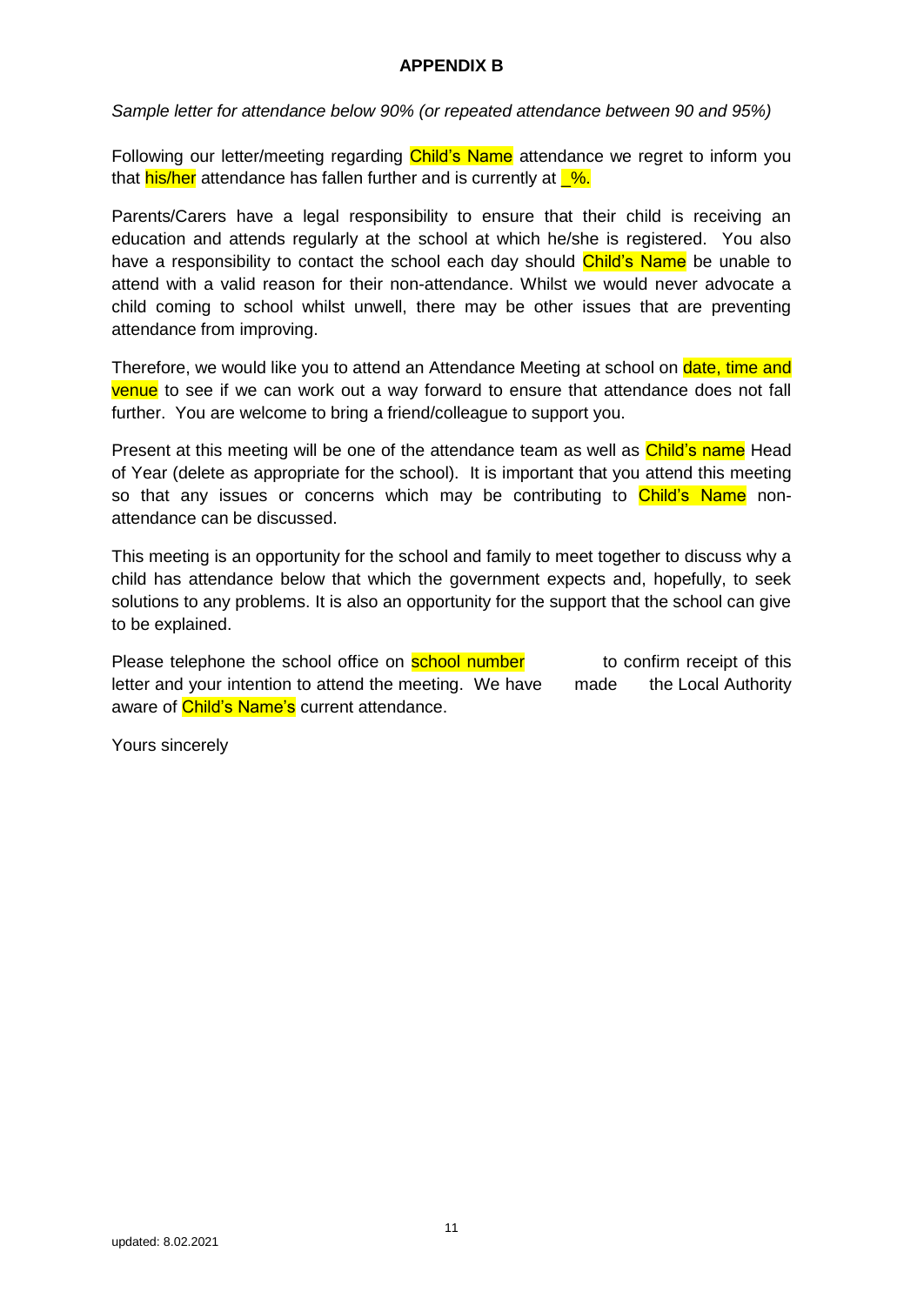# **APPENDIX B**

*Sample letter for attendance below 90% (or repeated attendance between 90 and 95%)*

Following our letter/meeting regarding Child's Name attendance we regret to inform you that his/her attendance has fallen further and is currently at  $\frac{1}{6}$ .

Parents/Carers have a legal responsibility to ensure that their child is receiving an education and attends regularly at the school at which he/she is registered. You also have a responsibility to contact the school each day should Child's Name be unable to attend with a valid reason for their non-attendance. Whilst we would never advocate a child coming to school whilst unwell, there may be other issues that are preventing attendance from improving.

Therefore, we would like you to attend an Attendance Meeting at school on date, time and venue to see if we can work out a way forward to ensure that attendance does not fall further. You are welcome to bring a friend/colleague to support you.

Present at this meeting will be one of the attendance team as well as Child's name Head of Year (delete as appropriate for the school). It is important that you attend this meeting so that any issues or concerns which may be contributing to **Child's Name** nonattendance can be discussed.

This meeting is an opportunity for the school and family to meet together to discuss why a child has attendance below that which the government expects and, hopefully, to seek solutions to any problems. It is also an opportunity for the support that the school can give to be explained.

Please telephone the school office on **school number** to confirm receipt of this letter and your intention to attend the meeting. We have made the Local Authority aware of **Child's Name's** current attendance.

Yours sincerely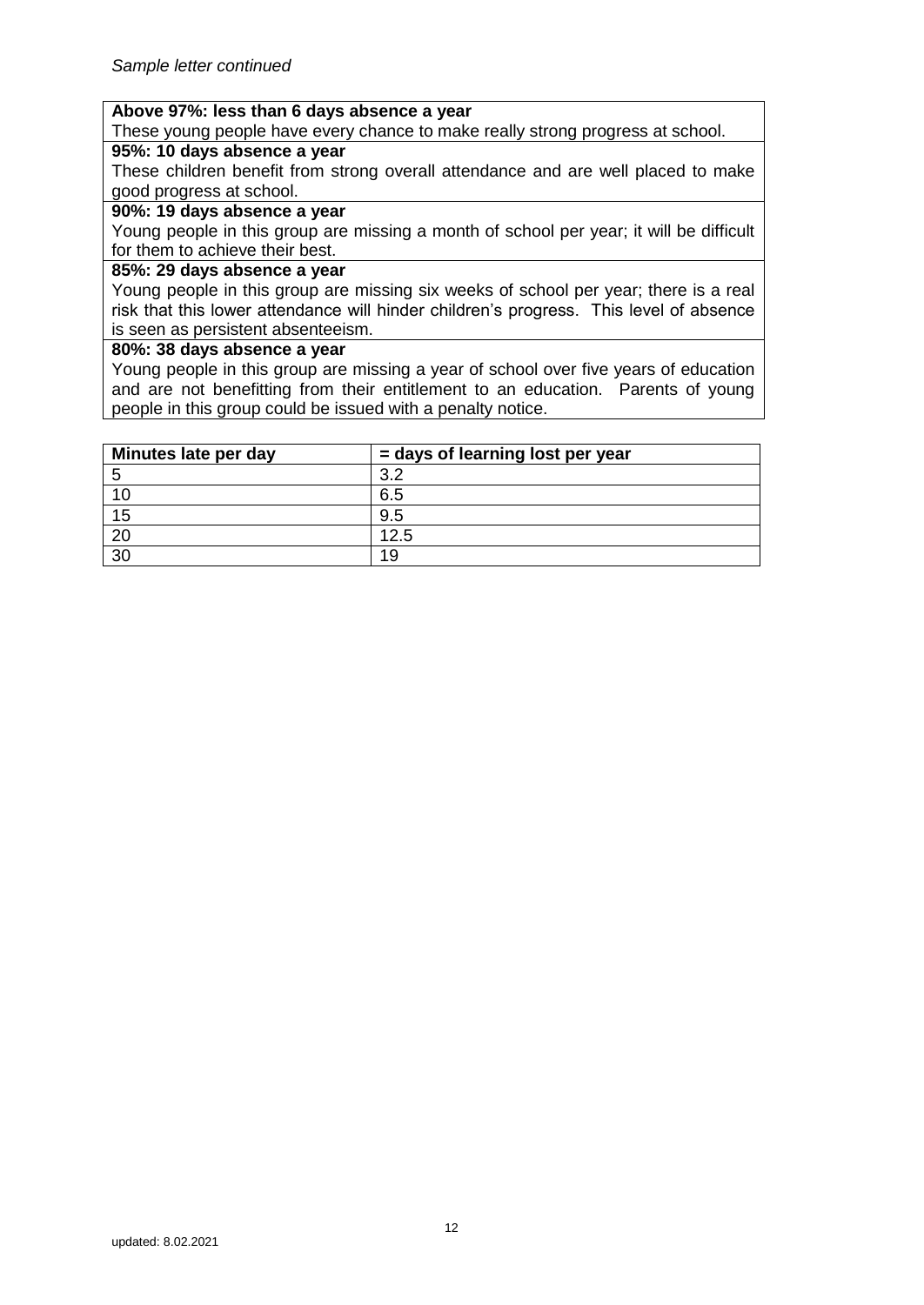### **Above 97%: less than 6 days absence a year**

These young people have every chance to make really strong progress at school.

# **95%: 10 days absence a year**

These children benefit from strong overall attendance and are well placed to make good progress at school.

#### **90%: 19 days absence a year**

Young people in this group are missing a month of school per year; it will be difficult for them to achieve their best.

#### **85%: 29 days absence a year**

Young people in this group are missing six weeks of school per year; there is a real risk that this lower attendance will hinder children's progress. This level of absence is seen as persistent absenteeism.

#### **80%: 38 days absence a year**

Young people in this group are missing a year of school over five years of education and are not benefitting from their entitlement to an education. Parents of young people in this group could be issued with a penalty notice.

| Minutes late per day | = days of learning lost per year |
|----------------------|----------------------------------|
| 5                    | っっ                               |
| 10                   | 6.5                              |
| 15                   | 9.5                              |
| 20                   | 12.5                             |
| 30                   | 19                               |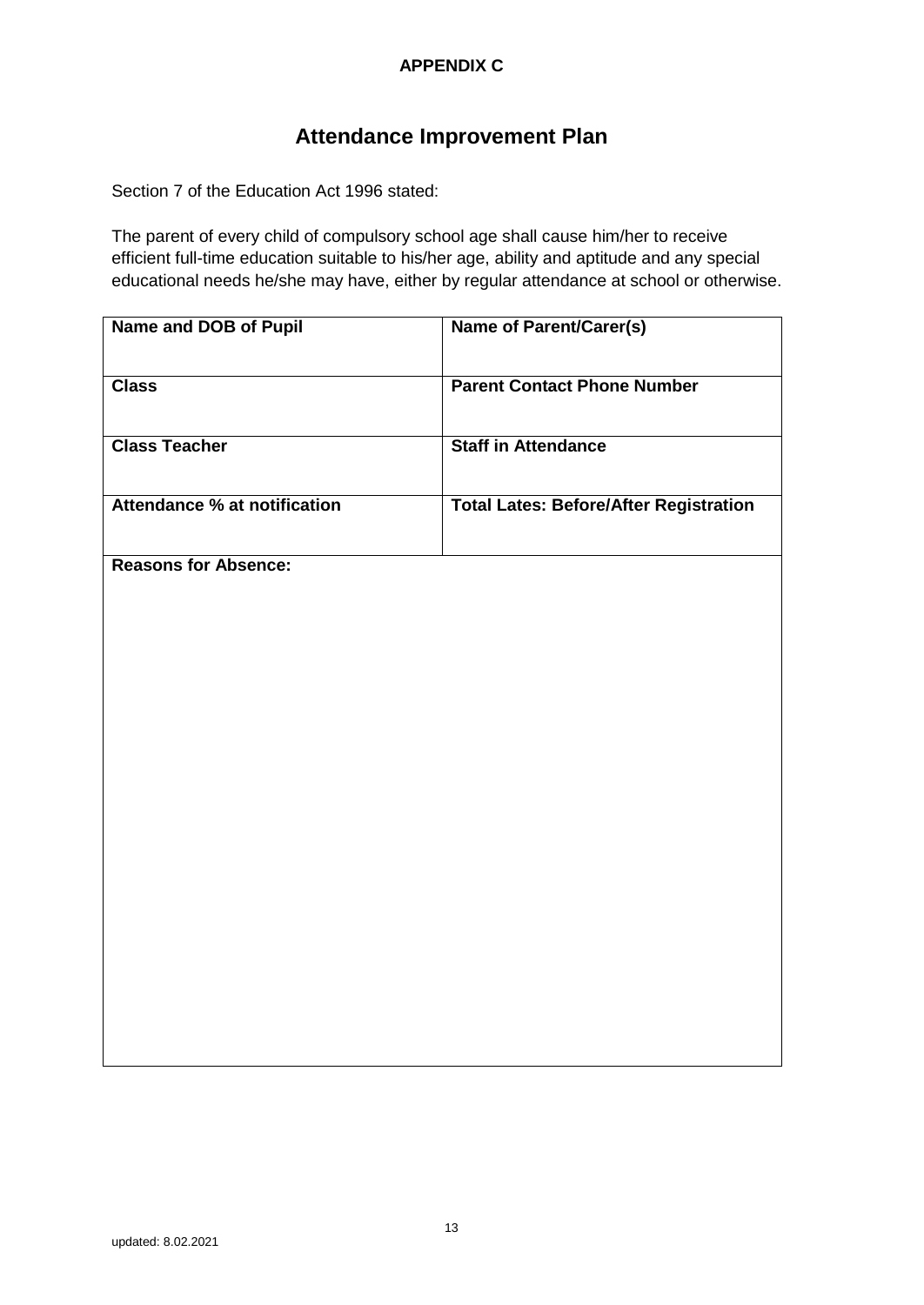# **APPENDIX C**

# **Attendance Improvement Plan**

Section 7 of the Education Act 1996 stated:

The parent of every child of compulsory school age shall cause him/her to receive efficient full-time education suitable to his/her age, ability and aptitude and any special educational needs he/she may have, either by regular attendance at school or otherwise.

| Name and DOB of Pupil               | <b>Name of Parent/Carer(s)</b>                |
|-------------------------------------|-----------------------------------------------|
| <b>Class</b>                        | <b>Parent Contact Phone Number</b>            |
| <b>Class Teacher</b>                | <b>Staff in Attendance</b>                    |
| <b>Attendance % at notification</b> | <b>Total Lates: Before/After Registration</b> |
| <b>Reasons for Absence:</b>         |                                               |
|                                     |                                               |
|                                     |                                               |
|                                     |                                               |
|                                     |                                               |
|                                     |                                               |
|                                     |                                               |
|                                     |                                               |
|                                     |                                               |
|                                     |                                               |
|                                     |                                               |
|                                     |                                               |
|                                     |                                               |
|                                     |                                               |
|                                     |                                               |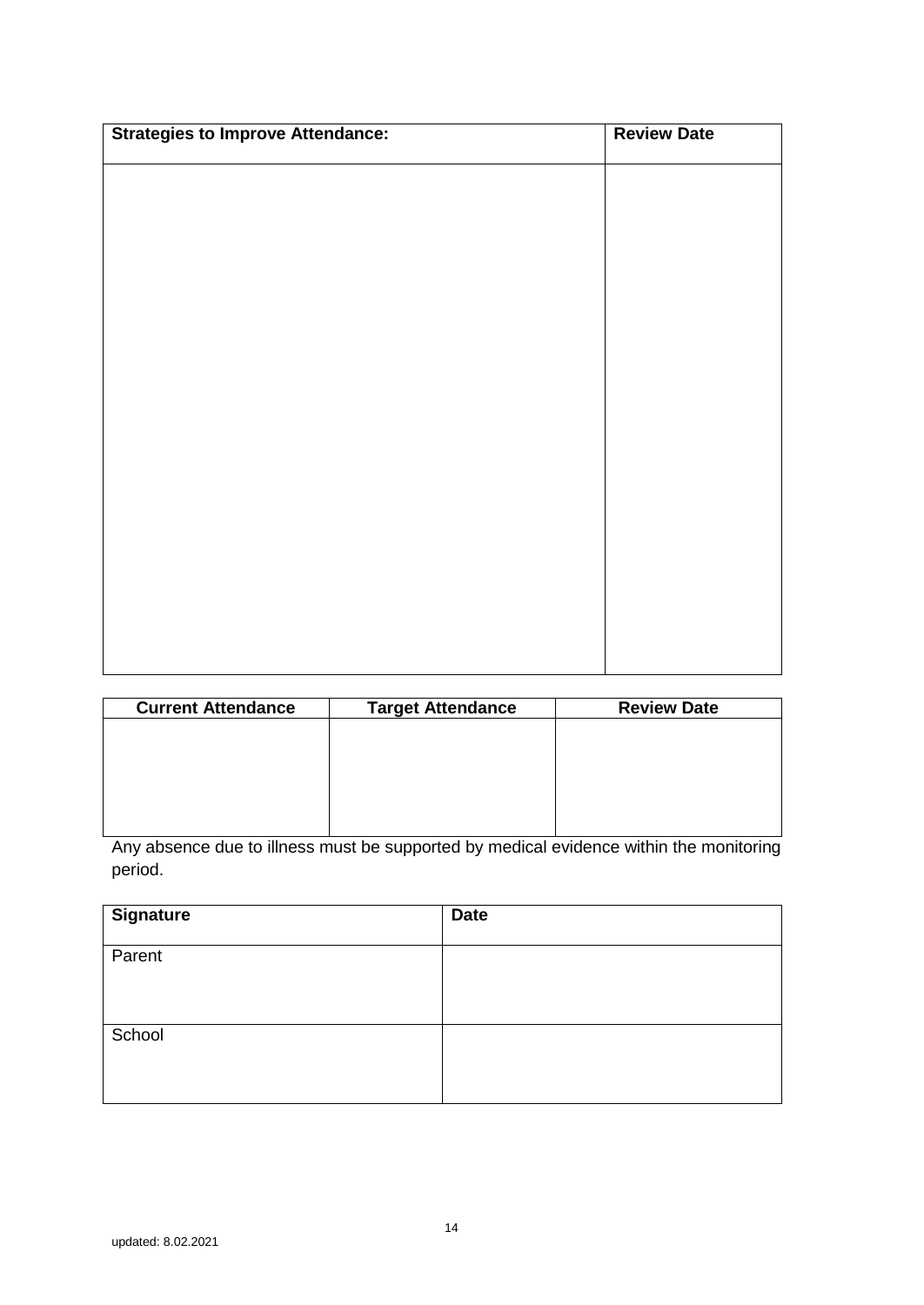| <b>Strategies to Improve Attendance:</b> | <b>Review Date</b> |
|------------------------------------------|--------------------|
|                                          |                    |
|                                          |                    |
|                                          |                    |
|                                          |                    |
|                                          |                    |
|                                          |                    |
|                                          |                    |
|                                          |                    |
|                                          |                    |
|                                          |                    |
|                                          |                    |
|                                          |                    |
|                                          |                    |
|                                          |                    |
|                                          |                    |
|                                          |                    |
|                                          |                    |
|                                          |                    |

| <b>Current Attendance</b> | <b>Target Attendance</b> | <b>Review Date</b> |
|---------------------------|--------------------------|--------------------|
|                           |                          |                    |
|                           |                          |                    |
|                           |                          |                    |
|                           |                          |                    |
|                           |                          |                    |

Any absence due to illness must be supported by medical evidence within the monitoring period.

| <b>Signature</b> | <b>Date</b> |
|------------------|-------------|
| Parent           |             |
| School           |             |